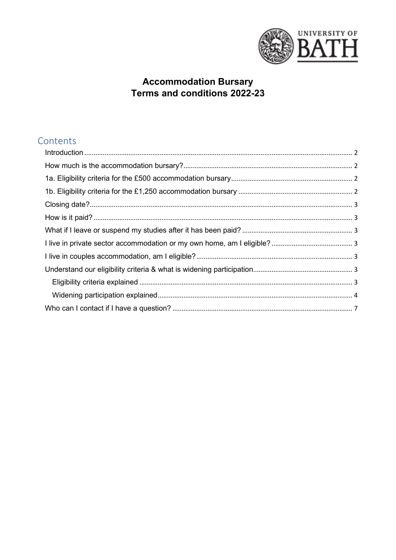

# **Accommodation Bursary<br>Terms and conditions 2022-23**

# Contents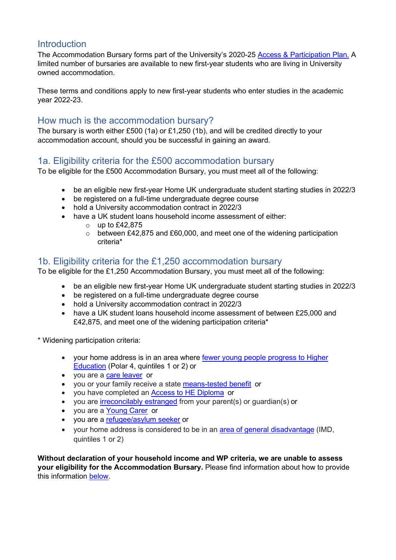## <span id="page-1-0"></span>**Introduction**

The Accommodation Bursary forms part of the University's 2020-25 [Access & Participation Plan.](https://www.officeforstudents.org.uk/advice-and-guidance/promoting-equal-opportunities/access-and-participation-plans/) A limited number of bursaries are available to new first-year students who are living in University owned accommodation.

These terms and conditions apply to new first-year students who enter studies in the academic year 2022-23.

## <span id="page-1-1"></span>How much is the accommodation bursary?

The bursary is worth either £500 (1a) or £1,250 (1b), and will be credited directly to your accommodation account, should you be successful in gaining an award.

# <span id="page-1-2"></span>1a. Eligibility criteria for the £500 accommodation bursary

To be eligible for the £500 Accommodation Bursary, you must meet all of the following:

- be an eligible new first-year Home UK undergraduate student starting studies in 2022/3
- be registered on a full-time undergraduate degree course
- hold a University accommodation contract in 2022/3
- have a UK student loans household income assessment of either:
	- $\circ$  up to £42,875
	- o between £42,875 and £60,000, and meet one of the widening participation criteria\*

# <span id="page-1-3"></span>1b. Eligibility criteria for the £1,250 accommodation bursary

To be eligible for the £1,250 Accommodation Bursary, you must meet all of the following:

- be an eligible new first-year Home UK undergraduate student starting studies in 2022/3
- be registered on a full-time undergraduate degree course
- hold a University accommodation contract in 2022/3
- have a UK student loans household income assessment of between £25,000 and £42,875, and meet one of the widening participation criteria\*

\* Widening participation criteria:

- your home address is in an area where [fewer young people progress to Higher](https://www.officeforstudents.org.uk/data-and-analysis/young-participation-by-area/young-participation-by-postcode/)  [Education](https://www.officeforstudents.org.uk/data-and-analysis/young-participation-by-area/young-participation-by-postcode/) (Polar 4, quintiles 1 or 2) or
- you are a [care leaver](https://www.bath.ac.uk/guides/additional-support-and-funding-for-care-leavers-foyer-residents-and-estranged-students/) or
- you or your family receive a state [means-tested benefit](https://www.bath.ac.uk/corporate-information/state-means-tested-benefits/) or
- you have completed an **[Access to HE Diploma](http://www.accesstohe.ac.uk/Pages/Default.aspx)** or
- you are *irreconcilably estranged* from your parent(s) or guardian(s) or
- you are a [Young Carer](https://www.bath.ac.uk/guides/students-with-caring-responsibilities/) or
- you are a [refugee/asylum seeker](https://www.bath.ac.uk/guides/financial-support-for-refugees/) or
- your home address is considered to be in an [area of general disadvantage](https://imd-by-postcode.opendatacommunities.org/imd/2019) (IMD, quintiles 1 or 2)

**Without declaration of your household income and WP criteria, we are unable to assess your eligibility for the Accommodation Bursary.** Please find information about how to provide this information [below.](#page-2-5)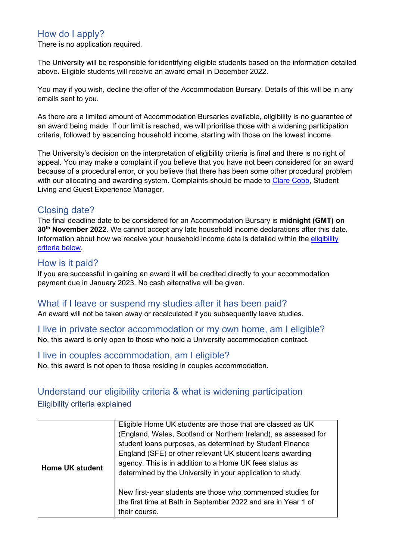# How do I apply?

There is no application required.

The University will be responsible for identifying eligible students based on the information detailed above. Eligible students will receive an award email in December 2022.

You may if you wish, decline the offer of the Accommodation Bursary. Details of this will be in any emails sent to you.

As there are a limited amount of Accommodation Bursaries available, eligibility is no guarantee of an award being made. If our limit is reached, we will prioritise those with a widening participation criteria, followed by ascending household income, starting with those on the lowest income.

The University's decision on the interpretation of eligibility criteria is final and there is no right of appeal. You may make a complaint if you believe that you have not been considered for an award because of a procedural error, or you believe that there has been some other procedural problem with our allocating and awarding system. Complaints should be made to [Clare Cobb,](mailto:cc599@bath.ac.uk) Student Living and Guest Experience Manager.

### <span id="page-2-0"></span>Closing date?

The final deadline date to be considered for an Accommodation Bursary is **midnight (GMT) on 30th November 2022**. We cannot accept any late household income declarations after this date. Information about how we receive your household income data is detailed within the [eligibility](#page-2-6)  [criteria below.](#page-2-6)

#### <span id="page-2-1"></span>How is it paid?

If you are successful in gaining an award it will be credited directly to your accommodation payment due in January 2023. No cash alternative will be given.

#### <span id="page-2-2"></span>What if I leave or suspend my studies after it has been paid?

An award will not be taken away or recalculated if you subsequently leave studies.

# <span id="page-2-3"></span>I live in private sector accommodation or my own home, am I eligible?

No, this award is only open to those who hold a University accommodation contract.

#### <span id="page-2-4"></span>I live in couples accommodation, am I eligible?

No, this award is not open to those residing in couples accommodation.

# <span id="page-2-6"></span><span id="page-2-5"></span>Understand our eligibility criteria & what is widening participation Eligibility criteria explained

| <b>Home UK student</b> | Eligible Home UK students are those that are classed as UK<br>(England, Wales, Scotland or Northern Ireland), as assessed for<br>student loans purposes, as determined by Student Finance<br>England (SFE) or other relevant UK student loans awarding<br>agency. This is in addition to a Home UK fees status as<br>determined by the University in your application to study. |
|------------------------|---------------------------------------------------------------------------------------------------------------------------------------------------------------------------------------------------------------------------------------------------------------------------------------------------------------------------------------------------------------------------------|
|                        | New first-year students are those who commenced studies for<br>the first time at Bath in September 2022 and are in Year 1 of<br>their course.                                                                                                                                                                                                                                   |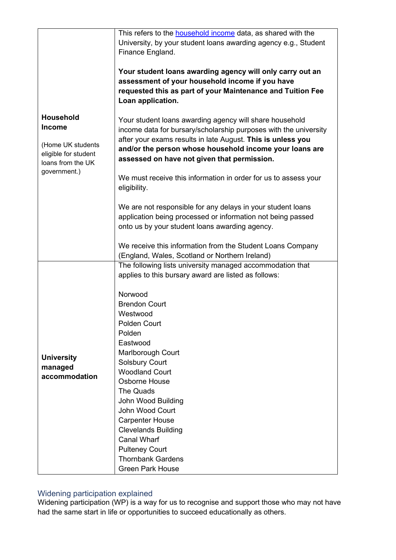|                                                                                | This refers to the <b>household income</b> data, as shared with the                                                                                                                             |
|--------------------------------------------------------------------------------|-------------------------------------------------------------------------------------------------------------------------------------------------------------------------------------------------|
|                                                                                | University, by your student loans awarding agency e.g., Student                                                                                                                                 |
|                                                                                | Finance England.                                                                                                                                                                                |
|                                                                                | Your student loans awarding agency will only carry out an<br>assessment of your household income if you have<br>requested this as part of your Maintenance and Tuition Fee<br>Loan application. |
| <b>Household</b>                                                               |                                                                                                                                                                                                 |
| <b>Income</b>                                                                  | Your student loans awarding agency will share household                                                                                                                                         |
|                                                                                | income data for bursary/scholarship purposes with the university                                                                                                                                |
| (Home UK students<br>eligible for student<br>loans from the UK<br>government.) | after your exams results in late August. This is unless you<br>and/or the person whose household income your loans are<br>assessed on have not given that permission.                           |
|                                                                                | We must receive this information in order for us to assess your<br>eligibility.                                                                                                                 |
|                                                                                | We are not responsible for any delays in your student loans                                                                                                                                     |
|                                                                                | application being processed or information not being passed                                                                                                                                     |
|                                                                                | onto us by your student loans awarding agency.                                                                                                                                                  |
|                                                                                |                                                                                                                                                                                                 |
|                                                                                | We receive this information from the Student Loans Company                                                                                                                                      |
|                                                                                | (England, Wales, Scotland or Northern Ireland)                                                                                                                                                  |
|                                                                                | The following lists university managed accommodation that                                                                                                                                       |
|                                                                                | applies to this bursary award are listed as follows:                                                                                                                                            |
|                                                                                | Norwood                                                                                                                                                                                         |
|                                                                                | <b>Brendon Court</b>                                                                                                                                                                            |
|                                                                                | Westwood                                                                                                                                                                                        |
|                                                                                | Polden Court                                                                                                                                                                                    |
|                                                                                | Polden                                                                                                                                                                                          |
|                                                                                | Eastwood<br>Marlborough Court                                                                                                                                                                   |
| <b>University</b>                                                              | <b>Solsbury Court</b>                                                                                                                                                                           |
| managed                                                                        | <b>Woodland Court</b>                                                                                                                                                                           |
| accommodation                                                                  | Osborne House                                                                                                                                                                                   |
|                                                                                | The Quads                                                                                                                                                                                       |
|                                                                                | John Wood Building                                                                                                                                                                              |
|                                                                                | <b>John Wood Court</b>                                                                                                                                                                          |
|                                                                                | <b>Carpenter House</b>                                                                                                                                                                          |
|                                                                                | <b>Clevelands Building</b>                                                                                                                                                                      |
|                                                                                | <b>Canal Wharf</b>                                                                                                                                                                              |
|                                                                                | <b>Pulteney Court</b>                                                                                                                                                                           |
|                                                                                | <b>Thornbank Gardens</b>                                                                                                                                                                        |
|                                                                                | <b>Green Park House</b>                                                                                                                                                                         |

#### <span id="page-3-0"></span>Widening participation explained

Widening participation (WP) is a way for us to recognise and support those who may not have had the same start in life or opportunities to succeed educationally as others.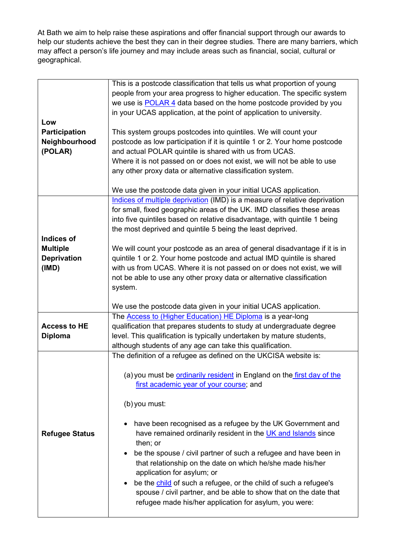At Bath we aim to help raise these aspirations and offer financial support through our awards to help our students achieve the best they can in their degree studies. There are many barriers, which may affect a person's life journey and may include areas such as financial, social, cultural or geographical.

|                       | This is a postcode classification that tells us what proportion of young      |
|-----------------------|-------------------------------------------------------------------------------|
|                       | people from your area progress to higher education. The specific system       |
|                       |                                                                               |
|                       | we use is POLAR 4 data based on the home postcode provided by you             |
|                       | in your UCAS application, at the point of application to university.          |
| Low                   |                                                                               |
| Participation         | This system groups postcodes into quintiles. We will count your               |
| Neighbourhood         | postcode as low participation if it is quintile 1 or 2. Your home postcode    |
| (POLAR)               | and actual POLAR quintile is shared with us from UCAS.                        |
|                       | Where it is not passed on or does not exist, we will not be able to use       |
|                       | any other proxy data or alternative classification system.                    |
|                       |                                                                               |
|                       | We use the postcode data given in your initial UCAS application.              |
|                       | Indices of multiple deprivation (IMD) is a measure of relative deprivation    |
|                       | for small, fixed geographic areas of the UK. IMD classifies these areas       |
|                       | into five quintiles based on relative disadvantage, with quintile 1 being     |
|                       |                                                                               |
|                       | the most deprived and quintile 5 being the least deprived.                    |
| <b>Indices of</b>     |                                                                               |
| <b>Multiple</b>       | We will count your postcode as an area of general disadvantage if it is in    |
| <b>Deprivation</b>    | quintile 1 or 2. Your home postcode and actual IMD quintile is shared         |
| (IMD)                 | with us from UCAS. Where it is not passed on or does not exist, we will       |
|                       | not be able to use any other proxy data or alternative classification         |
|                       | system.                                                                       |
|                       |                                                                               |
|                       |                                                                               |
|                       | We use the postcode data given in your initial UCAS application.              |
|                       | The <b>Access to (Higher Education) HE Diploma</b> is a year-long             |
| <b>Access to HE</b>   | qualification that prepares students to study at undergraduate degree         |
|                       |                                                                               |
| <b>Diploma</b>        | level. This qualification is typically undertaken by mature students,         |
|                       | although students of any age can take this qualification.                     |
|                       | The definition of a refugee as defined on the UKCISA website is:              |
|                       |                                                                               |
|                       | (a) you must be <b>ordinarily resident</b> in England on the first day of the |
|                       | first academic year of your course; and                                       |
|                       |                                                                               |
|                       | (b) you must:                                                                 |
|                       |                                                                               |
|                       | have been recognised as a refugee by the UK Government and                    |
| <b>Refugee Status</b> | have remained ordinarily resident in the UK and Islands since                 |
|                       | then; or                                                                      |
|                       | be the spouse / civil partner of such a refugee and have been in              |
|                       | that relationship on the date on which he/she made his/her                    |
|                       |                                                                               |
|                       | application for asylum; or<br>$\bullet$                                       |
|                       | be the child of such a refugee, or the child of such a refugee's              |
|                       | spouse / civil partner, and be able to show that on the date that             |
|                       | refugee made his/her application for asylum, you were:                        |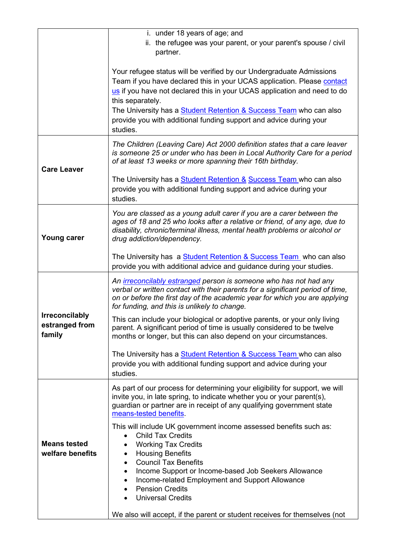|                                                   | i. under 18 years of age; and                                                                                                                                                                                                                                                                                                                                                                                                        |
|---------------------------------------------------|--------------------------------------------------------------------------------------------------------------------------------------------------------------------------------------------------------------------------------------------------------------------------------------------------------------------------------------------------------------------------------------------------------------------------------------|
|                                                   | ii. the refugee was your parent, or your parent's spouse / civil<br>partner.                                                                                                                                                                                                                                                                                                                                                         |
|                                                   | Your refugee status will be verified by our Undergraduate Admissions<br>Team if you have declared this in your UCAS application. Please contact<br>us if you have not declared this in your UCAS application and need to do<br>this separately.<br>The University has a <b>Student Retention &amp; Success Team</b> who can also<br>provide you with additional funding support and advice during your<br>studies.                   |
| <b>Care Leaver</b>                                | The Children (Leaving Care) Act 2000 definition states that a care leaver<br>is someone 25 or under who has been in Local Authority Care for a period<br>of at least 13 weeks or more spanning their 16th birthday.                                                                                                                                                                                                                  |
|                                                   | The University has a <b>Student Retention &amp; Success Team</b> who can also<br>provide you with additional funding support and advice during your<br>studies.                                                                                                                                                                                                                                                                      |
| <b>Young carer</b>                                | You are classed as a young adult carer if you are a carer between the<br>ages of 18 and 25 who looks after a relative or friend, of any age, due to<br>disability, chronic/terminal illness, mental health problems or alcohol or<br>drug addiction/dependency.                                                                                                                                                                      |
|                                                   | The University has a <b>Student Retention &amp; Success Team</b> who can also<br>provide you with additional advice and guidance during your studies.                                                                                                                                                                                                                                                                                |
| <b>Irreconcilably</b><br>estranged from<br>family | An <i>irreconcilably estranged</i> person is someone who has not had any<br>verbal or written contact with their parents for a significant period of time,<br>on or before the first day of the academic year for which you are applying<br>for funding, and this is unlikely to change.                                                                                                                                             |
|                                                   | This can include your biological or adoptive parents, or your only living<br>parent. A significant period of time is usually considered to be twelve<br>months or longer, but this can also depend on your circumstances.                                                                                                                                                                                                            |
|                                                   | The University has a <b>Student Retention &amp; Success Team</b> who can also<br>provide you with additional funding support and advice during your<br>studies.                                                                                                                                                                                                                                                                      |
|                                                   | As part of our process for determining your eligibility for support, we will<br>invite you, in late spring, to indicate whether you or your parent(s),<br>guardian or partner are in receipt of any qualifying government state<br>means-tested benefits.                                                                                                                                                                            |
| <b>Means tested</b><br>welfare benefits           | This will include UK government income assessed benefits such as:<br><b>Child Tax Credits</b><br><b>Working Tax Credits</b><br><b>Housing Benefits</b><br>$\bullet$<br><b>Council Tax Benefits</b><br>$\bullet$<br>Income Support or Income-based Job Seekers Allowance<br>$\bullet$<br>Income-related Employment and Support Allowance<br>$\bullet$<br><b>Pension Credits</b><br>$\bullet$<br><b>Universal Credits</b><br>$\bullet$ |
|                                                   | We also will accept, if the parent or student receives for themselves (not                                                                                                                                                                                                                                                                                                                                                           |